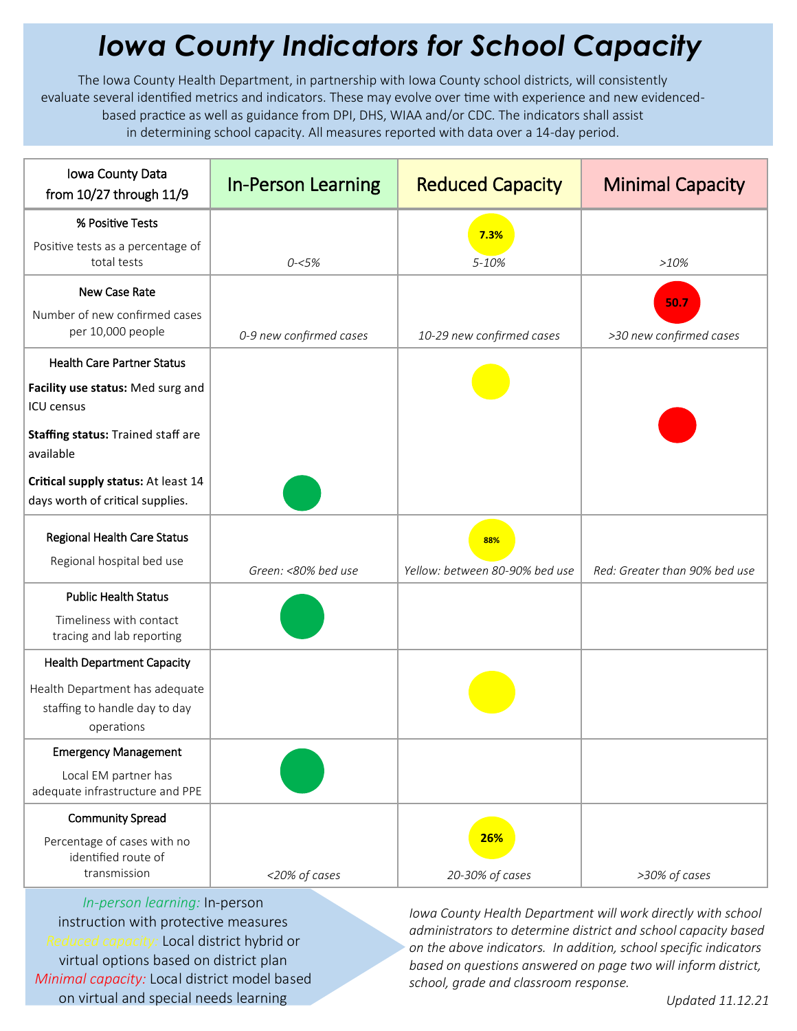## *Iowa County Indicators for School Capacity*

The Iowa County Health Department, in partnership with Iowa County school districts, will consistently evaluate several identified metrics and indicators. These may evolve over time with experience and new evidencedbased practice as well as guidance from DPI, DHS, WIAA and/or CDC. The indicators shall assist in determining school capacity. All measures reported with data over a 14-day period.

| Iowa County Data<br>from 10/27 through 11/9                                   | <b>In-Person Learning</b> | <b>Reduced Capacity</b>        | <b>Minimal Capacity</b>       |
|-------------------------------------------------------------------------------|---------------------------|--------------------------------|-------------------------------|
| % Positive Tests                                                              |                           | 7.3%                           |                               |
| Positive tests as a percentage of<br>total tests                              | $0 - 5%$                  | 5-10%                          | >10%                          |
| New Case Rate                                                                 |                           |                                | 50.7                          |
| Number of new confirmed cases<br>per 10,000 people                            | 0-9 new confirmed cases   | 10-29 new confirmed cases      | >30 new confirmed cases       |
| <b>Health Care Partner Status</b>                                             |                           |                                |                               |
| Facility use status: Med surg and<br><b>ICU</b> census                        |                           |                                |                               |
| Staffing status: Trained staff are<br>available                               |                           |                                |                               |
| Critical supply status: At least 14<br>days worth of critical supplies.       |                           |                                |                               |
| Regional Health Care Status                                                   |                           | 88%                            |                               |
| Regional hospital bed use                                                     | Green: <80% bed use       | Yellow: between 80-90% bed use | Red: Greater than 90% bed use |
| <b>Public Health Status</b>                                                   |                           |                                |                               |
| Timeliness with contact<br>tracing and lab reporting                          |                           |                                |                               |
| <b>Health Department Capacity</b>                                             |                           |                                |                               |
| Health Department has adequate<br>staffing to handle day to day<br>operations |                           |                                |                               |
| <b>Emergency Management</b>                                                   |                           |                                |                               |
| Local EM partner has<br>adequate infrastructure and PPE                       |                           |                                |                               |
| <b>Community Spread</b>                                                       |                           |                                |                               |
| Percentage of cases with no<br>identified route of                            |                           | 26%                            |                               |
| transmission                                                                  | <20% of cases             | 20-30% of cases                | >30% of cases                 |

*In-person learning:* In-person instruction with protective measures *Reduced capacity:* Local district hybrid or virtual options based on district plan *Minimal capacity:* Local district model based on virtual and special needs learning

*Iowa County Health Department will work directly with school administrators to determine district and school capacity based on the above indicators. In addition, school specific indicators based on questions answered on page two will inform district, school, grade and classroom response.*